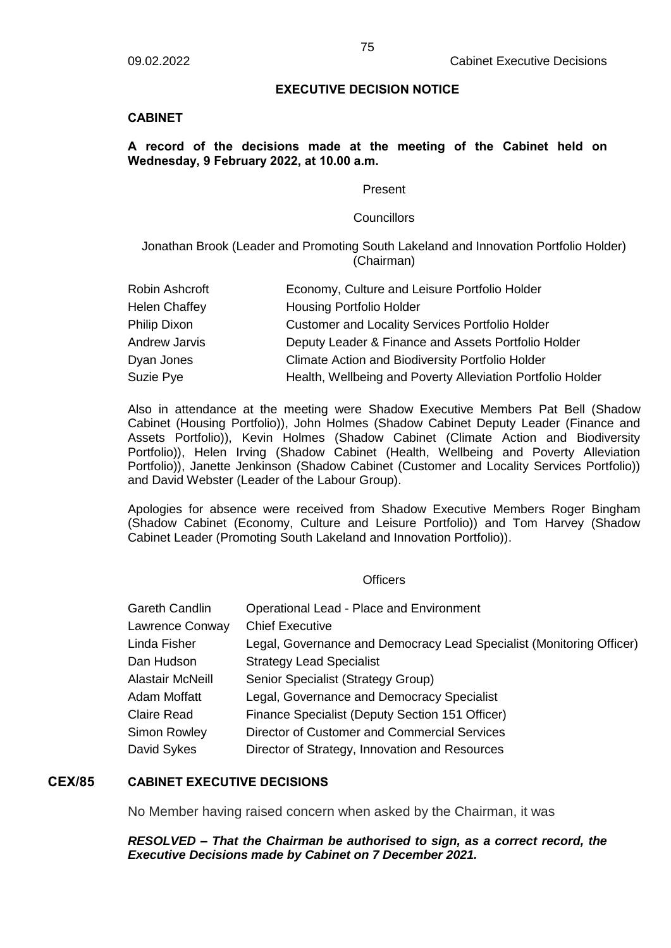### **EXECUTIVE DECISION NOTICE**

### **CABINET**

# **A record of the decisions made at the meeting of the Cabinet held on Wednesday, 9 February 2022, at 10.00 a.m.**

#### Present

#### **Councillors**

Jonathan Brook (Leader and Promoting South Lakeland and Innovation Portfolio Holder) (Chairman)

| Robin Ashcroft       | Economy, Culture and Leisure Portfolio Holder              |
|----------------------|------------------------------------------------------------|
| <b>Helen Chaffey</b> | <b>Housing Portfolio Holder</b>                            |
| Philip Dixon         | <b>Customer and Locality Services Portfolio Holder</b>     |
| <b>Andrew Jarvis</b> | Deputy Leader & Finance and Assets Portfolio Holder        |
| Dyan Jones           | <b>Climate Action and Biodiversity Portfolio Holder</b>    |
| Suzie Pye            | Health, Wellbeing and Poverty Alleviation Portfolio Holder |

Also in attendance at the meeting were Shadow Executive Members Pat Bell (Shadow Cabinet (Housing Portfolio)), John Holmes (Shadow Cabinet Deputy Leader (Finance and Assets Portfolio)), Kevin Holmes (Shadow Cabinet (Climate Action and Biodiversity Portfolio)), Helen Irving (Shadow Cabinet (Health, Wellbeing and Poverty Alleviation Portfolio)), Janette Jenkinson (Shadow Cabinet (Customer and Locality Services Portfolio)) and David Webster (Leader of the Labour Group).

Apologies for absence were received from Shadow Executive Members Roger Bingham (Shadow Cabinet (Economy, Culture and Leisure Portfolio)) and Tom Harvey (Shadow Cabinet Leader (Promoting South Lakeland and Innovation Portfolio)).

#### **Officers**

| Gareth Candlin   | Operational Lead - Place and Environment                             |
|------------------|----------------------------------------------------------------------|
| Lawrence Conway  | <b>Chief Executive</b>                                               |
| Linda Fisher     | Legal, Governance and Democracy Lead Specialist (Monitoring Officer) |
| Dan Hudson       | <b>Strategy Lead Specialist</b>                                      |
| Alastair McNeill | Senior Specialist (Strategy Group)                                   |
| Adam Moffatt     | Legal, Governance and Democracy Specialist                           |
| Claire Read      | Finance Specialist (Deputy Section 151 Officer)                      |
| Simon Rowley     | Director of Customer and Commercial Services                         |
| David Sykes      | Director of Strategy, Innovation and Resources                       |
|                  |                                                                      |

# **CEX/85 CABINET EXECUTIVE DECISIONS**

No Member having raised concern when asked by the Chairman, it was

### *RESOLVED – That the Chairman be authorised to sign, as a correct record, the Executive Decisions made by Cabinet on 7 December 2021.*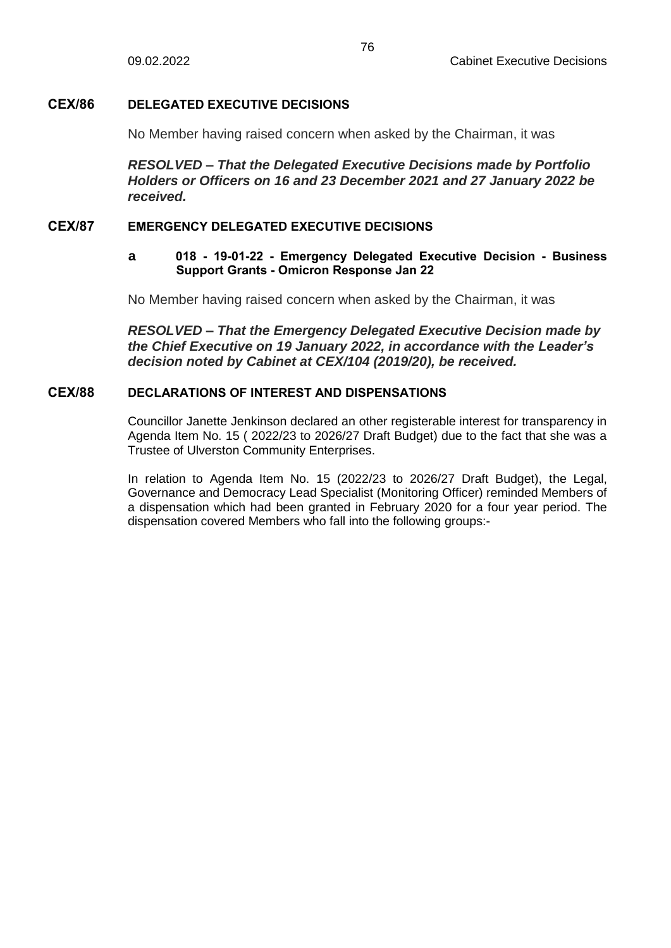# **CEX/86 DELEGATED EXECUTIVE DECISIONS**

No Member having raised concern when asked by the Chairman, it was

*RESOLVED – That the Delegated Executive Decisions made by Portfolio Holders or Officers on 16 and 23 December 2021 and 27 January 2022 be received.*

# **CEX/87 EMERGENCY DELEGATED EXECUTIVE DECISIONS**

# **a 018 - 19-01-22 - Emergency Delegated Executive Decision - Business Support Grants - Omicron Response Jan 22**

No Member having raised concern when asked by the Chairman, it was

*RESOLVED – That the Emergency Delegated Executive Decision made by the Chief Executive on 19 January 2022, in accordance with the Leader's decision noted by Cabinet at CEX/104 (2019/20), be received.*

# **CEX/88 DECLARATIONS OF INTEREST AND DISPENSATIONS**

Councillor Janette Jenkinson declared an other registerable interest for transparency in Agenda Item No. 15 ( 2022/23 to 2026/27 Draft Budget) due to the fact that she was a Trustee of Ulverston Community Enterprises.

In relation to Agenda Item No. 15 (2022/23 to 2026/27 Draft Budget), the Legal, Governance and Democracy Lead Specialist (Monitoring Officer) reminded Members of a dispensation which had been granted in February 2020 for a four year period. The dispensation covered Members who fall into the following groups:-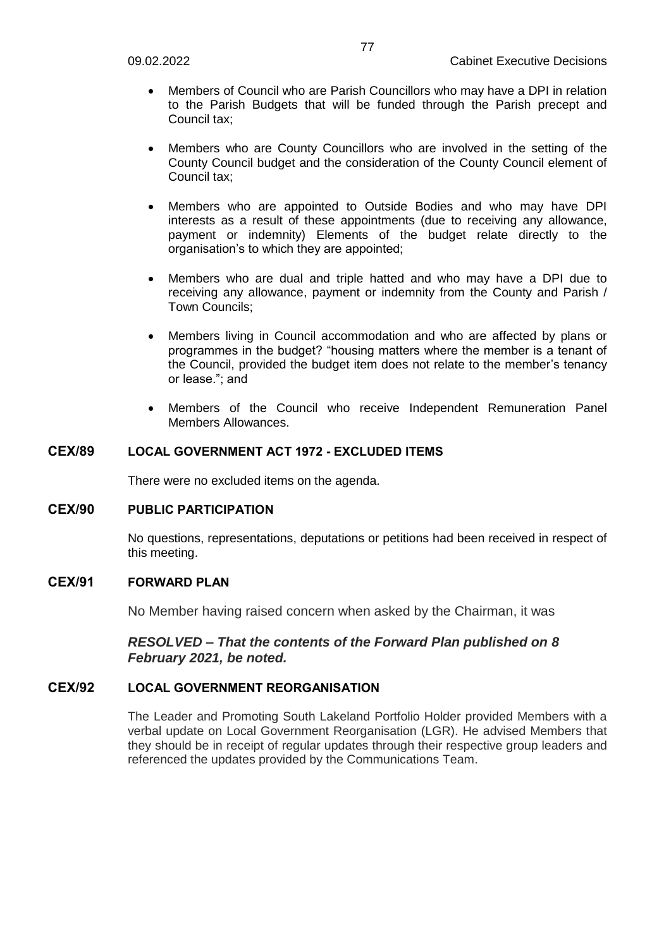- Members of Council who are Parish Councillors who may have a DPI in relation to the Parish Budgets that will be funded through the Parish precept and Council tax;
- Members who are County Councillors who are involved in the setting of the County Council budget and the consideration of the County Council element of Council tax;
- Members who are appointed to Outside Bodies and who may have DPI interests as a result of these appointments (due to receiving any allowance, payment or indemnity) Elements of the budget relate directly to the organisation's to which they are appointed;
- Members who are dual and triple hatted and who may have a DPI due to receiving any allowance, payment or indemnity from the County and Parish / Town Councils;
- Members living in Council accommodation and who are affected by plans or programmes in the budget? "housing matters where the member is a tenant of the Council, provided the budget item does not relate to the member's tenancy or lease."; and
- Members of the Council who receive Independent Remuneration Panel Members Allowances.

# **CEX/89 LOCAL GOVERNMENT ACT 1972 - EXCLUDED ITEMS**

There were no excluded items on the agenda.

# **CEX/90 PUBLIC PARTICIPATION**

No questions, representations, deputations or petitions had been received in respect of this meeting.

# **CEX/91 FORWARD PLAN**

No Member having raised concern when asked by the Chairman, it was

# *RESOLVED – That the contents of the Forward Plan published on 8 February 2021, be noted.*

# **CEX/92 LOCAL GOVERNMENT REORGANISATION**

The Leader and Promoting South Lakeland Portfolio Holder provided Members with a verbal update on Local Government Reorganisation (LGR). He advised Members that they should be in receipt of regular updates through their respective group leaders and referenced the updates provided by the Communications Team.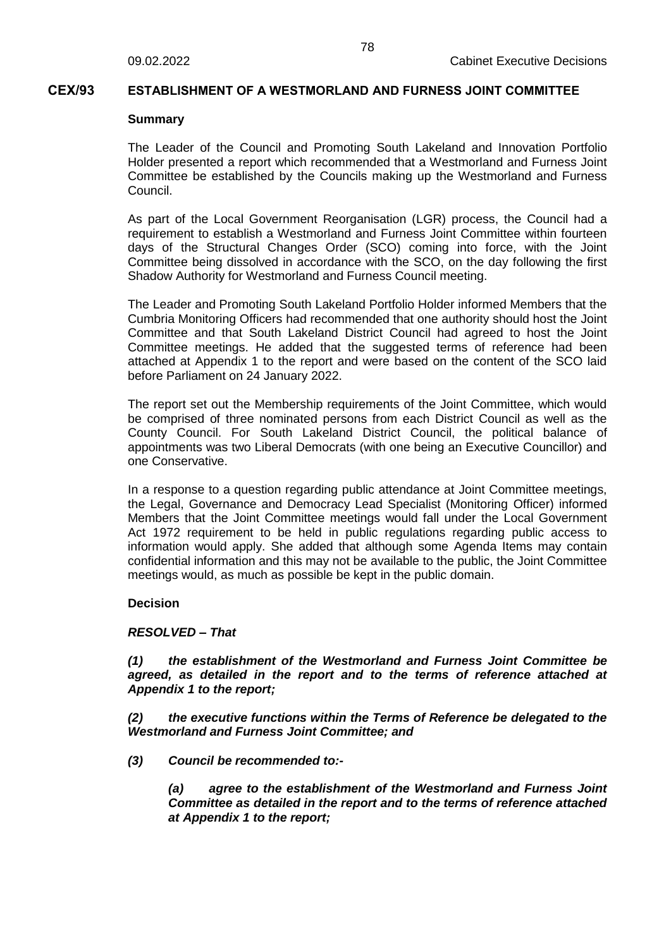### **CEX/93 ESTABLISHMENT OF A WESTMORLAND AND FURNESS JOINT COMMITTEE**

#### **Summary**

The Leader of the Council and Promoting South Lakeland and Innovation Portfolio Holder presented a report which recommended that a Westmorland and Furness Joint Committee be established by the Councils making up the Westmorland and Furness Council.

As part of the Local Government Reorganisation (LGR) process, the Council had a requirement to establish a Westmorland and Furness Joint Committee within fourteen days of the Structural Changes Order (SCO) coming into force, with the Joint Committee being dissolved in accordance with the SCO, on the day following the first Shadow Authority for Westmorland and Furness Council meeting.

The Leader and Promoting South Lakeland Portfolio Holder informed Members that the Cumbria Monitoring Officers had recommended that one authority should host the Joint Committee and that South Lakeland District Council had agreed to host the Joint Committee meetings. He added that the suggested terms of reference had been attached at Appendix 1 to the report and were based on the content of the SCO laid before Parliament on 24 January 2022.

The report set out the Membership requirements of the Joint Committee, which would be comprised of three nominated persons from each District Council as well as the County Council. For South Lakeland District Council, the political balance of appointments was two Liberal Democrats (with one being an Executive Councillor) and one Conservative.

In a response to a question regarding public attendance at Joint Committee meetings, the Legal, Governance and Democracy Lead Specialist (Monitoring Officer) informed Members that the Joint Committee meetings would fall under the Local Government Act 1972 requirement to be held in public regulations regarding public access to information would apply. She added that although some Agenda Items may contain confidential information and this may not be available to the public, the Joint Committee meetings would, as much as possible be kept in the public domain.

### **Decision**

### *RESOLVED – That*

*(1) the establishment of the Westmorland and Furness Joint Committee be agreed, as detailed in the report and to the terms of reference attached at Appendix 1 to the report;*

*(2) the executive functions within the Terms of Reference be delegated to the Westmorland and Furness Joint Committee; and*

*(3) Council be recommended to:-*

*(a) agree to the establishment of the Westmorland and Furness Joint Committee as detailed in the report and to the terms of reference attached at Appendix 1 to the report;*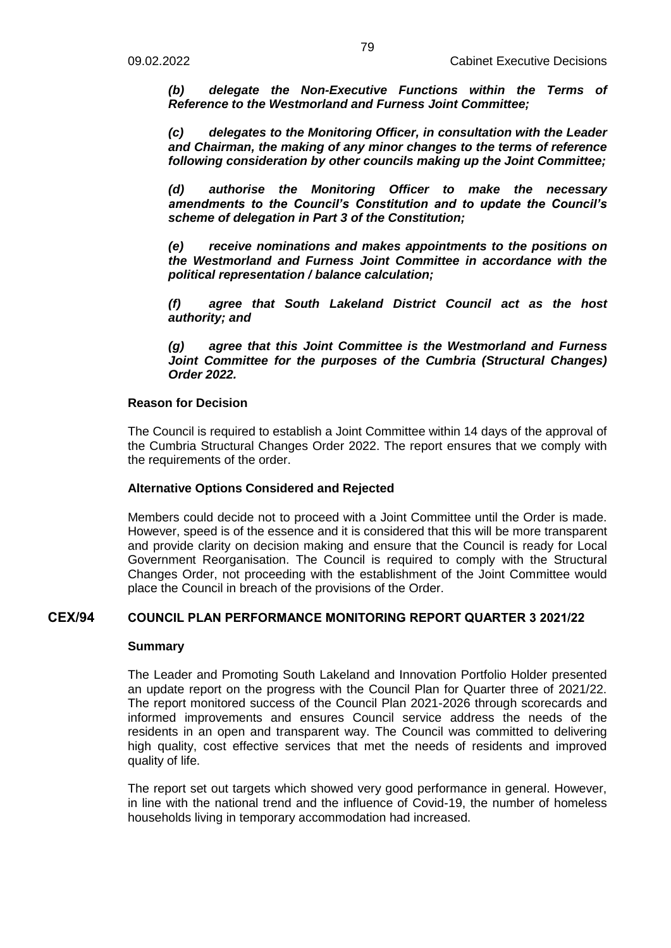*(b) delegate the Non-Executive Functions within the Terms of Reference to the Westmorland and Furness Joint Committee;*

*(c) delegates to the Monitoring Officer, in consultation with the Leader and Chairman, the making of any minor changes to the terms of reference following consideration by other councils making up the Joint Committee;* 

*(d) authorise the Monitoring Officer to make the necessary amendments to the Council's Constitution and to update the Council's scheme of delegation in Part 3 of the Constitution;* 

*(e) receive nominations and makes appointments to the positions on the Westmorland and Furness Joint Committee in accordance with the political representation / balance calculation;*

*(f) agree that South Lakeland District Council act as the host authority; and*

*(g) agree that this Joint Committee is the Westmorland and Furness Joint Committee for the purposes of the Cumbria (Structural Changes) Order 2022.*

### **Reason for Decision**

The Council is required to establish a Joint Committee within 14 days of the approval of the Cumbria Structural Changes Order 2022. The report ensures that we comply with the requirements of the order.

### **Alternative Options Considered and Rejected**

Members could decide not to proceed with a Joint Committee until the Order is made. However, speed is of the essence and it is considered that this will be more transparent and provide clarity on decision making and ensure that the Council is ready for Local Government Reorganisation. The Council is required to comply with the Structural Changes Order, not proceeding with the establishment of the Joint Committee would place the Council in breach of the provisions of the Order.

## **CEX/94 COUNCIL PLAN PERFORMANCE MONITORING REPORT QUARTER 3 2021/22**

### **Summary**

The Leader and Promoting South Lakeland and Innovation Portfolio Holder presented an update report on the progress with the Council Plan for Quarter three of 2021/22. The report monitored success of the Council Plan 2021-2026 through scorecards and informed improvements and ensures Council service address the needs of the residents in an open and transparent way. The Council was committed to delivering high quality, cost effective services that met the needs of residents and improved quality of life.

The report set out targets which showed very good performance in general. However, in line with the national trend and the influence of Covid-19, the number of homeless households living in temporary accommodation had increased.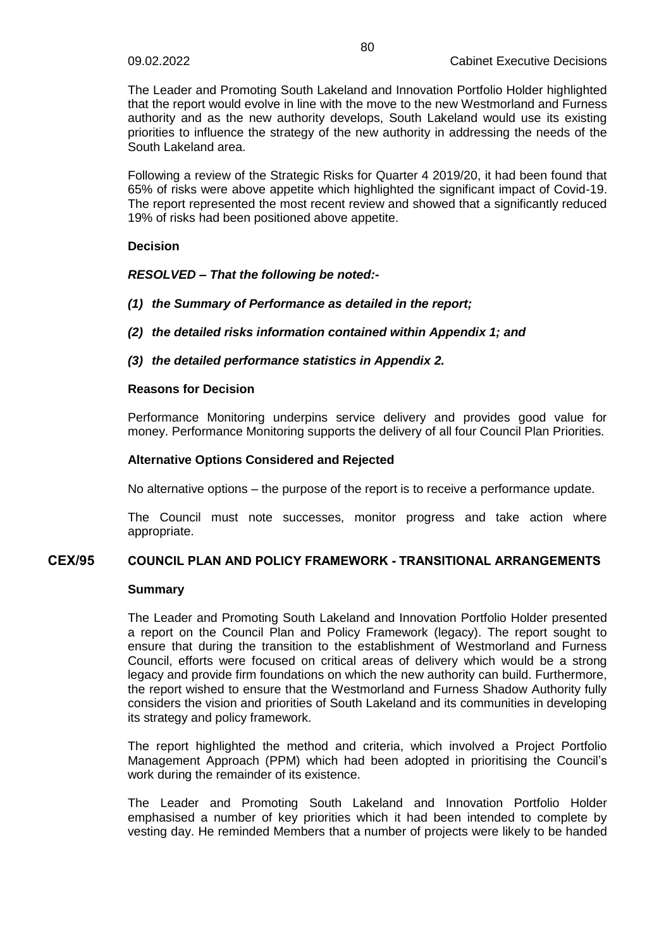The Leader and Promoting South Lakeland and Innovation Portfolio Holder highlighted that the report would evolve in line with the move to the new Westmorland and Furness authority and as the new authority develops, South Lakeland would use its existing priorities to influence the strategy of the new authority in addressing the needs of the South Lakeland area.

Following a review of the Strategic Risks for Quarter 4 2019/20, it had been found that 65% of risks were above appetite which highlighted the significant impact of Covid-19. The report represented the most recent review and showed that a significantly reduced 19% of risks had been positioned above appetite.

### **Decision**

# *RESOLVED – That the following be noted:-*

- *(1) the Summary of Performance as detailed in the report;*
- *(2) the detailed risks information contained within Appendix 1; and*
- *(3) the detailed performance statistics in Appendix 2.*

### **Reasons for Decision**

Performance Monitoring underpins service delivery and provides good value for money. Performance Monitoring supports the delivery of all four Council Plan Priorities.

### **Alternative Options Considered and Rejected**

No alternative options – the purpose of the report is to receive a performance update.

The Council must note successes, monitor progress and take action where appropriate.

### **CEX/95 COUNCIL PLAN AND POLICY FRAMEWORK - TRANSITIONAL ARRANGEMENTS**

### **Summary**

The Leader and Promoting South Lakeland and Innovation Portfolio Holder presented a report on the Council Plan and Policy Framework (legacy). The report sought to ensure that during the transition to the establishment of Westmorland and Furness Council, efforts were focused on critical areas of delivery which would be a strong legacy and provide firm foundations on which the new authority can build. Furthermore, the report wished to ensure that the Westmorland and Furness Shadow Authority fully considers the vision and priorities of South Lakeland and its communities in developing its strategy and policy framework.

The report highlighted the method and criteria, which involved a Project Portfolio Management Approach (PPM) which had been adopted in prioritising the Council's work during the remainder of its existence.

The Leader and Promoting South Lakeland and Innovation Portfolio Holder emphasised a number of key priorities which it had been intended to complete by vesting day. He reminded Members that a number of projects were likely to be handed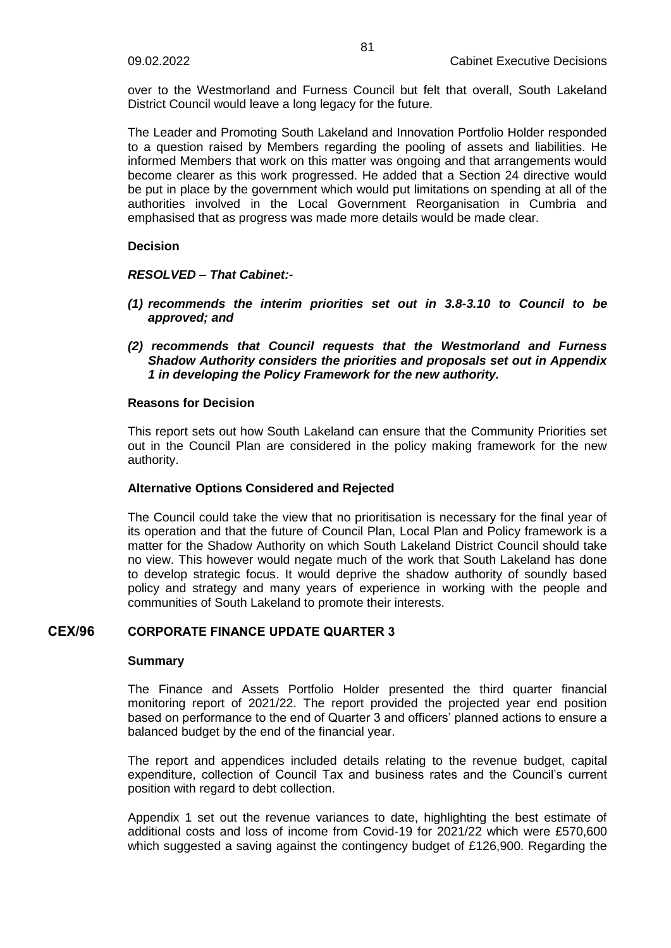over to the Westmorland and Furness Council but felt that overall, South Lakeland District Council would leave a long legacy for the future.

The Leader and Promoting South Lakeland and Innovation Portfolio Holder responded to a question raised by Members regarding the pooling of assets and liabilities. He informed Members that work on this matter was ongoing and that arrangements would become clearer as this work progressed. He added that a Section 24 directive would be put in place by the government which would put limitations on spending at all of the authorities involved in the Local Government Reorganisation in Cumbria and emphasised that as progress was made more details would be made clear.

**Decision**

#### *RESOLVED – That Cabinet:-*

- *(1) recommends the interim priorities set out in 3.8-3.10 to Council to be approved; and*
- *(2) recommends that Council requests that the Westmorland and Furness Shadow Authority considers the priorities and proposals set out in Appendix 1 in developing the Policy Framework for the new authority.*

#### **Reasons for Decision**

This report sets out how South Lakeland can ensure that the Community Priorities set out in the Council Plan are considered in the policy making framework for the new authority.

### **Alternative Options Considered and Rejected**

The Council could take the view that no prioritisation is necessary for the final year of its operation and that the future of Council Plan, Local Plan and Policy framework is a matter for the Shadow Authority on which South Lakeland District Council should take no view. This however would negate much of the work that South Lakeland has done to develop strategic focus. It would deprive the shadow authority of soundly based policy and strategy and many years of experience in working with the people and communities of South Lakeland to promote their interests.

## **CEX/96 CORPORATE FINANCE UPDATE QUARTER 3**

#### **Summary**

The Finance and Assets Portfolio Holder presented the third quarter financial monitoring report of 2021/22. The report provided the projected year end position based on performance to the end of Quarter 3 and officers' planned actions to ensure a balanced budget by the end of the financial year.

The report and appendices included details relating to the revenue budget, capital expenditure, collection of Council Tax and business rates and the Council's current position with regard to debt collection.

Appendix 1 set out the revenue variances to date, highlighting the best estimate of additional costs and loss of income from Covid-19 for 2021/22 which were £570,600 which suggested a saving against the contingency budget of £126,900. Regarding the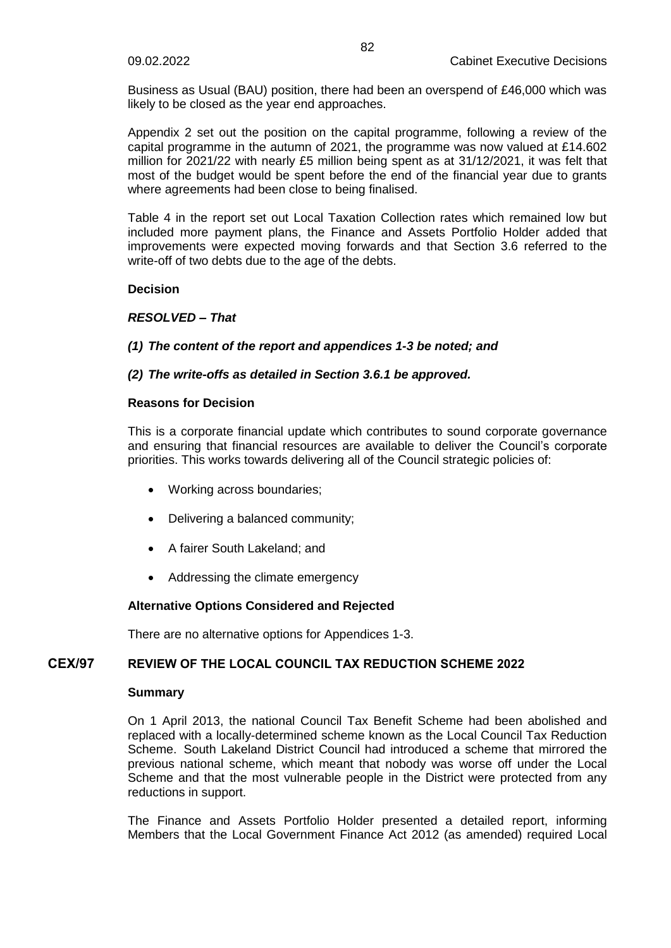Business as Usual (BAU) position, there had been an overspend of £46,000 which was likely to be closed as the year end approaches.

Appendix 2 set out the position on the capital programme, following a review of the capital programme in the autumn of 2021, the programme was now valued at £14.602 million for 2021/22 with nearly £5 million being spent as at 31/12/2021, it was felt that most of the budget would be spent before the end of the financial year due to grants where agreements had been close to being finalised.

Table 4 in the report set out Local Taxation Collection rates which remained low but included more payment plans, the Finance and Assets Portfolio Holder added that improvements were expected moving forwards and that Section 3.6 referred to the write-off of two debts due to the age of the debts.

### **Decision**

# *RESOLVED – That*

# *(1) The content of the report and appendices 1-3 be noted; and*

# *(2) The write-offs as detailed in Section 3.6.1 be approved.*

### **Reasons for Decision**

This is a corporate financial update which contributes to sound corporate governance and ensuring that financial resources are available to deliver the Council's corporate priorities. This works towards delivering all of the Council strategic policies of:

- Working across boundaries;
- Delivering a balanced community;
- A fairer South Lakeland; and
- Addressing the climate emergency

# **Alternative Options Considered and Rejected**

There are no alternative options for Appendices 1-3.

# **CEX/97 REVIEW OF THE LOCAL COUNCIL TAX REDUCTION SCHEME 2022**

### **Summary**

On 1 April 2013, the national Council Tax Benefit Scheme had been abolished and replaced with a locally-determined scheme known as the Local Council Tax Reduction Scheme. South Lakeland District Council had introduced a scheme that mirrored the previous national scheme, which meant that nobody was worse off under the Local Scheme and that the most vulnerable people in the District were protected from any reductions in support.

The Finance and Assets Portfolio Holder presented a detailed report, informing Members that the Local Government Finance Act 2012 (as amended) required Local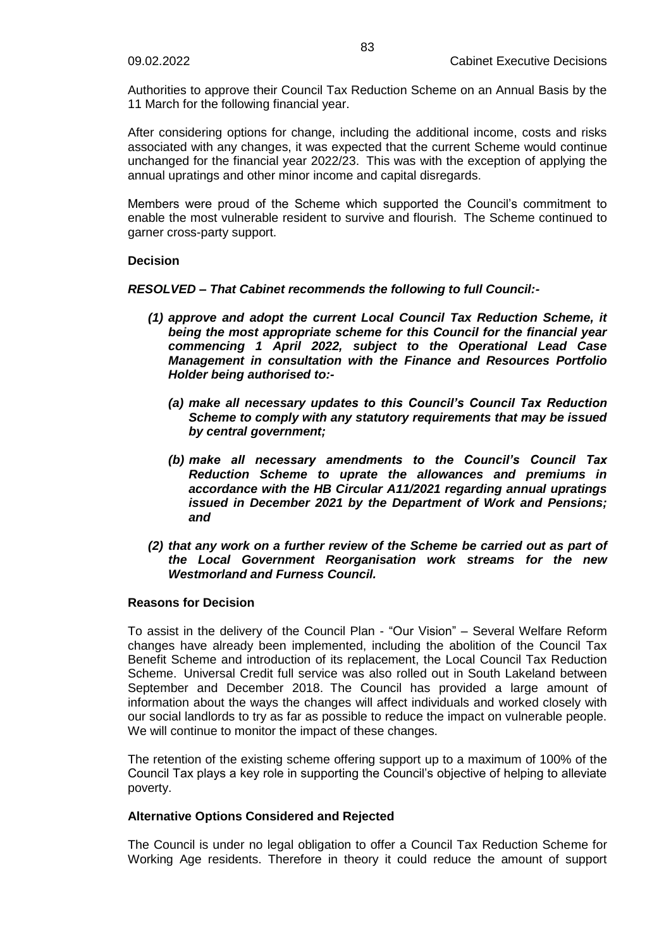Authorities to approve their Council Tax Reduction Scheme on an Annual Basis by the 11 March for the following financial year.

After considering options for change, including the additional income, costs and risks associated with any changes, it was expected that the current Scheme would continue unchanged for the financial year 2022/23. This was with the exception of applying the annual upratings and other minor income and capital disregards.

Members were proud of the Scheme which supported the Council's commitment to enable the most vulnerable resident to survive and flourish. The Scheme continued to garner cross-party support.

### **Decision**

*RESOLVED – That Cabinet recommends the following to full Council:-*

- *(1) approve and adopt the current Local Council Tax Reduction Scheme, it being the most appropriate scheme for this Council for the financial year commencing 1 April 2022, subject to the Operational Lead Case Management in consultation with the Finance and Resources Portfolio Holder being authorised to:-*
	- *(a) make all necessary updates to this Council's Council Tax Reduction Scheme to comply with any statutory requirements that may be issued by central government;*
	- *(b) make all necessary amendments to the Council's Council Tax Reduction Scheme to uprate the allowances and premiums in accordance with the HB Circular A11/2021 regarding annual upratings issued in December 2021 by the Department of Work and Pensions; and*
- *(2) that any work on a further review of the Scheme be carried out as part of the Local Government Reorganisation work streams for the new Westmorland and Furness Council.*

### **Reasons for Decision**

To assist in the delivery of the Council Plan - "Our Vision" – Several Welfare Reform changes have already been implemented, including the abolition of the Council Tax Benefit Scheme and introduction of its replacement, the Local Council Tax Reduction Scheme. Universal Credit full service was also rolled out in South Lakeland between September and December 2018. The Council has provided a large amount of information about the ways the changes will affect individuals and worked closely with our social landlords to try as far as possible to reduce the impact on vulnerable people. We will continue to monitor the impact of these changes.

The retention of the existing scheme offering support up to a maximum of 100% of the Council Tax plays a key role in supporting the Council's objective of helping to alleviate poverty.

### **Alternative Options Considered and Rejected**

The Council is under no legal obligation to offer a Council Tax Reduction Scheme for Working Age residents. Therefore in theory it could reduce the amount of support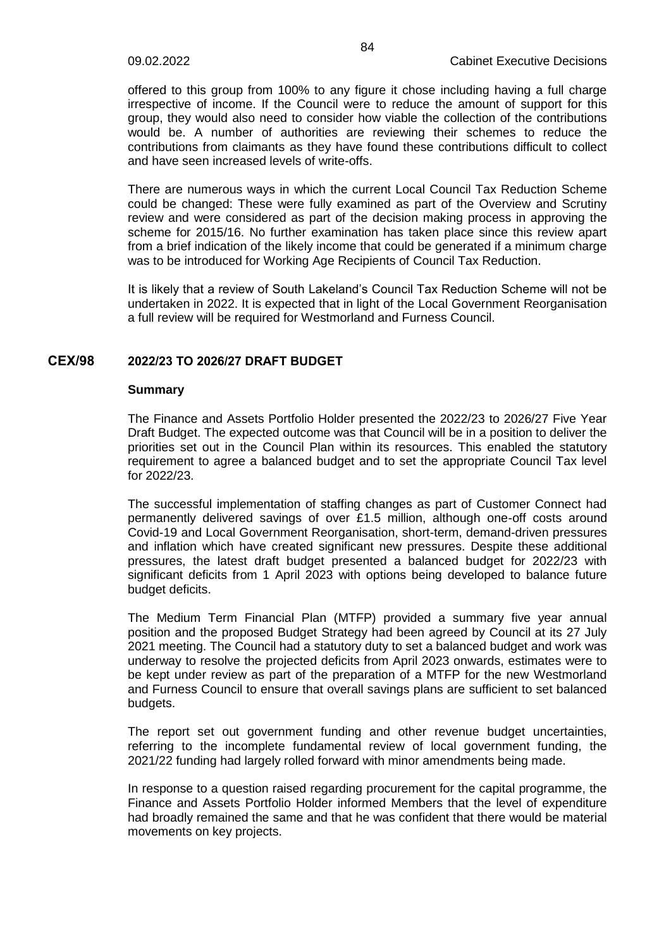offered to this group from 100% to any figure it chose including having a full charge irrespective of income. If the Council were to reduce the amount of support for this group, they would also need to consider how viable the collection of the contributions would be. A number of authorities are reviewing their schemes to reduce the contributions from claimants as they have found these contributions difficult to collect and have seen increased levels of write-offs.

There are numerous ways in which the current Local Council Tax Reduction Scheme could be changed: These were fully examined as part of the Overview and Scrutiny review and were considered as part of the decision making process in approving the scheme for 2015/16. No further examination has taken place since this review apart from a brief indication of the likely income that could be generated if a minimum charge was to be introduced for Working Age Recipients of Council Tax Reduction.

It is likely that a review of South Lakeland's Council Tax Reduction Scheme will not be undertaken in 2022. It is expected that in light of the Local Government Reorganisation a full review will be required for Westmorland and Furness Council.

### **CEX/98 2022/23 TO 2026/27 DRAFT BUDGET**

#### **Summary**

The Finance and Assets Portfolio Holder presented the 2022/23 to 2026/27 Five Year Draft Budget. The expected outcome was that Council will be in a position to deliver the priorities set out in the Council Plan within its resources. This enabled the statutory requirement to agree a balanced budget and to set the appropriate Council Tax level for 2022/23.

The successful implementation of staffing changes as part of Customer Connect had permanently delivered savings of over £1.5 million, although one-off costs around Covid-19 and Local Government Reorganisation, short-term, demand-driven pressures and inflation which have created significant new pressures. Despite these additional pressures, the latest draft budget presented a balanced budget for 2022/23 with significant deficits from 1 April 2023 with options being developed to balance future budget deficits.

The Medium Term Financial Plan (MTFP) provided a summary five year annual position and the proposed Budget Strategy had been agreed by Council at its 27 July 2021 meeting. The Council had a statutory duty to set a balanced budget and work was underway to resolve the projected deficits from April 2023 onwards, estimates were to be kept under review as part of the preparation of a MTFP for the new Westmorland and Furness Council to ensure that overall savings plans are sufficient to set balanced budgets.

The report set out government funding and other revenue budget uncertainties, referring to the incomplete fundamental review of local government funding, the 2021/22 funding had largely rolled forward with minor amendments being made.

In response to a question raised regarding procurement for the capital programme, the Finance and Assets Portfolio Holder informed Members that the level of expenditure had broadly remained the same and that he was confident that there would be material movements on key projects.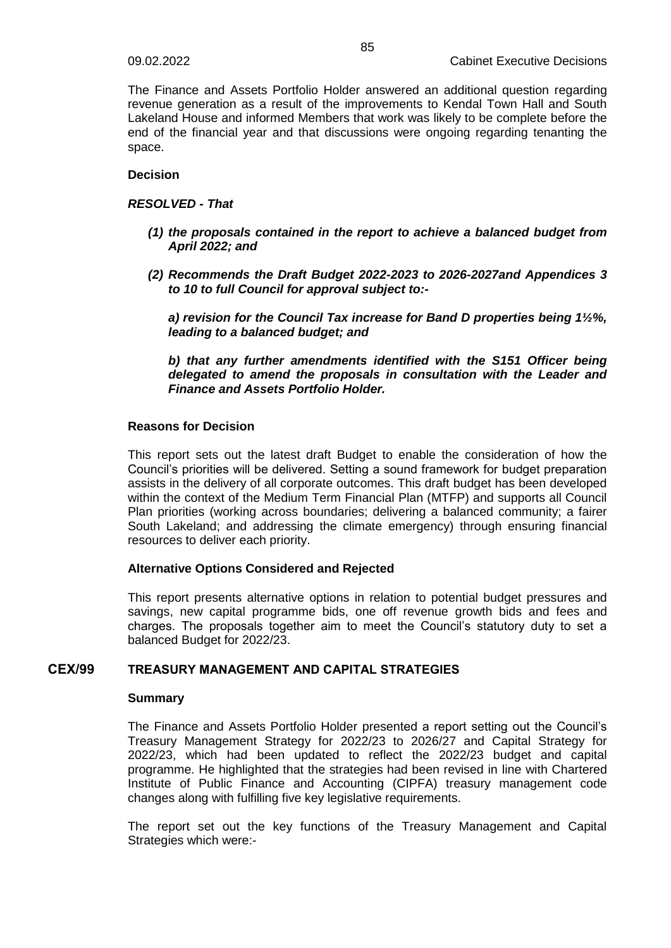The Finance and Assets Portfolio Holder answered an additional question regarding revenue generation as a result of the improvements to Kendal Town Hall and South Lakeland House and informed Members that work was likely to be complete before the end of the financial year and that discussions were ongoing regarding tenanting the space.

# **Decision**

### *RESOLVED - That*

- *(1) the proposals contained in the report to achieve a balanced budget from April 2022; and*
- *(2) Recommends the Draft Budget 2022-2023 to 2026-2027and Appendices 3 to 10 to full Council for approval subject to:-*

*a) revision for the Council Tax increase for Band D properties being 1½%, leading to a balanced budget; and* 

*b) that any further amendments identified with the S151 Officer being delegated to amend the proposals in consultation with the Leader and Finance and Assets Portfolio Holder.*

### **Reasons for Decision**

This report sets out the latest draft Budget to enable the consideration of how the Council's priorities will be delivered. Setting a sound framework for budget preparation assists in the delivery of all corporate outcomes. This draft budget has been developed within the context of the Medium Term Financial Plan (MTFP) and supports all Council Plan priorities (working across boundaries; delivering a balanced community; a fairer South Lakeland; and addressing the climate emergency) through ensuring financial resources to deliver each priority.

### **Alternative Options Considered and Rejected**

This report presents alternative options in relation to potential budget pressures and savings, new capital programme bids, one off revenue growth bids and fees and charges. The proposals together aim to meet the Council's statutory duty to set a balanced Budget for 2022/23.

# **CEX/99 TREASURY MANAGEMENT AND CAPITAL STRATEGIES**

### **Summary**

The Finance and Assets Portfolio Holder presented a report setting out the Council's Treasury Management Strategy for 2022/23 to 2026/27 and Capital Strategy for 2022/23, which had been updated to reflect the 2022/23 budget and capital programme. He highlighted that the strategies had been revised in line with Chartered Institute of Public Finance and Accounting (CIPFA) treasury management code changes along with fulfilling five key legislative requirements.

The report set out the key functions of the Treasury Management and Capital Strategies which were:-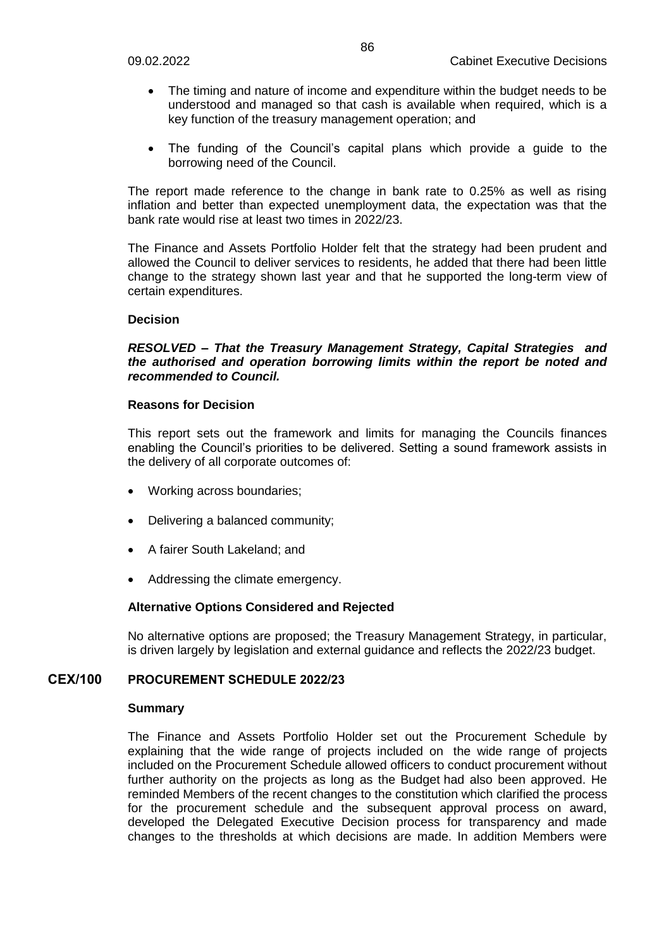- The timing and nature of income and expenditure within the budget needs to be understood and managed so that cash is available when required, which is a key function of the treasury management operation; and
- The funding of the Council's capital plans which provide a guide to the borrowing need of the Council.

The report made reference to the change in bank rate to 0.25% as well as rising inflation and better than expected unemployment data, the expectation was that the bank rate would rise at least two times in 2022/23.

The Finance and Assets Portfolio Holder felt that the strategy had been prudent and allowed the Council to deliver services to residents, he added that there had been little change to the strategy shown last year and that he supported the long-term view of certain expenditures.

### **Decision**

### *RESOLVED – That the Treasury Management Strategy, Capital Strategies and the authorised and operation borrowing limits within the report be noted and recommended to Council.*

### **Reasons for Decision**

This report sets out the framework and limits for managing the Councils finances enabling the Council's priorities to be delivered. Setting a sound framework assists in the delivery of all corporate outcomes of:

- Working across boundaries;
- Delivering a balanced community;
- A fairer South Lakeland; and
- Addressing the climate emergency.

### **Alternative Options Considered and Rejected**

No alternative options are proposed; the Treasury Management Strategy, in particular, is driven largely by legislation and external guidance and reflects the 2022/23 budget.

# **CEX/100 PROCUREMENT SCHEDULE 2022/23**

### **Summary**

The Finance and Assets Portfolio Holder set out the Procurement Schedule by explaining that the wide range of projects included on the wide range of projects included on the Procurement Schedule allowed officers to conduct procurement without further authority on the projects as long as the Budget had also been approved. He reminded Members of the recent changes to the constitution which clarified the process for the procurement schedule and the subsequent approval process on award, developed the Delegated Executive Decision process for transparency and made changes to the thresholds at which decisions are made. In addition Members were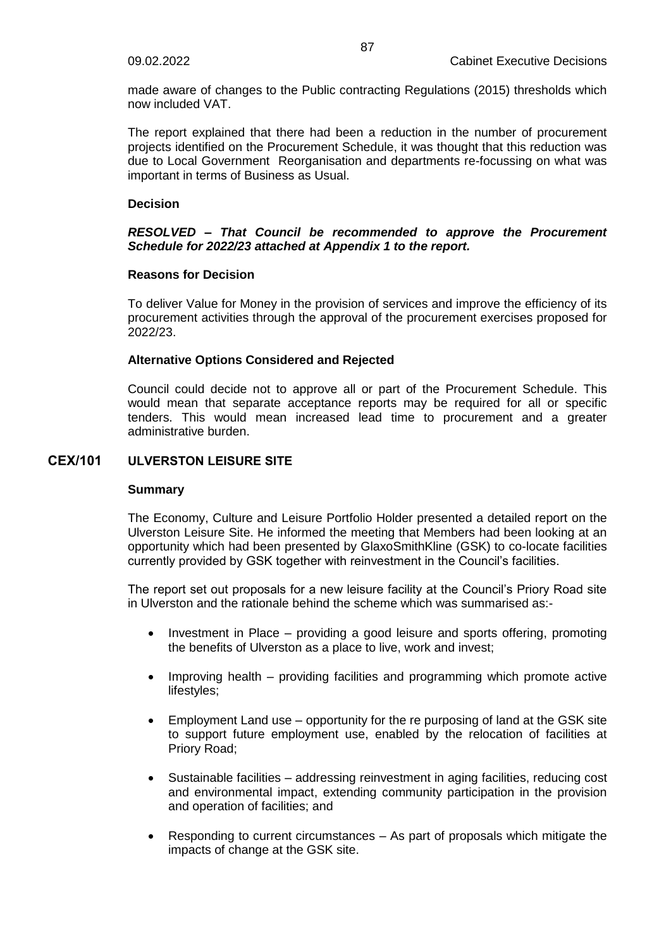made aware of changes to the Public contracting Regulations (2015) thresholds which now included VAT.

The report explained that there had been a reduction in the number of procurement projects identified on the Procurement Schedule, it was thought that this reduction was due to Local Government Reorganisation and departments re-focussing on what was important in terms of Business as Usual.

### **Decision**

## *RESOLVED – That Council be recommended to approve the Procurement Schedule for 2022/23 attached at Appendix 1 to the report.*

### **Reasons for Decision**

To deliver Value for Money in the provision of services and improve the efficiency of its procurement activities through the approval of the procurement exercises proposed for 2022/23.

### **Alternative Options Considered and Rejected**

Council could decide not to approve all or part of the Procurement Schedule. This would mean that separate acceptance reports may be required for all or specific tenders. This would mean increased lead time to procurement and a greater administrative burden.

# **CEX/101 ULVERSTON LEISURE SITE**

### **Summary**

The Economy, Culture and Leisure Portfolio Holder presented a detailed report on the Ulverston Leisure Site. He informed the meeting that Members had been looking at an opportunity which had been presented by GlaxoSmithKline (GSK) to co-locate facilities currently provided by GSK together with reinvestment in the Council's facilities.

The report set out proposals for a new leisure facility at the Council's Priory Road site in Ulverston and the rationale behind the scheme which was summarised as:-

- Investment in Place providing a good leisure and sports offering, promoting the benefits of Ulverston as a place to live, work and invest;
- Improving health providing facilities and programming which promote active lifestyles;
- Employment Land use opportunity for the re purposing of land at the GSK site to support future employment use, enabled by the relocation of facilities at Priory Road;
- Sustainable facilities addressing reinvestment in aging facilities, reducing cost and environmental impact, extending community participation in the provision and operation of facilities; and
- Responding to current circumstances As part of proposals which mitigate the impacts of change at the GSK site.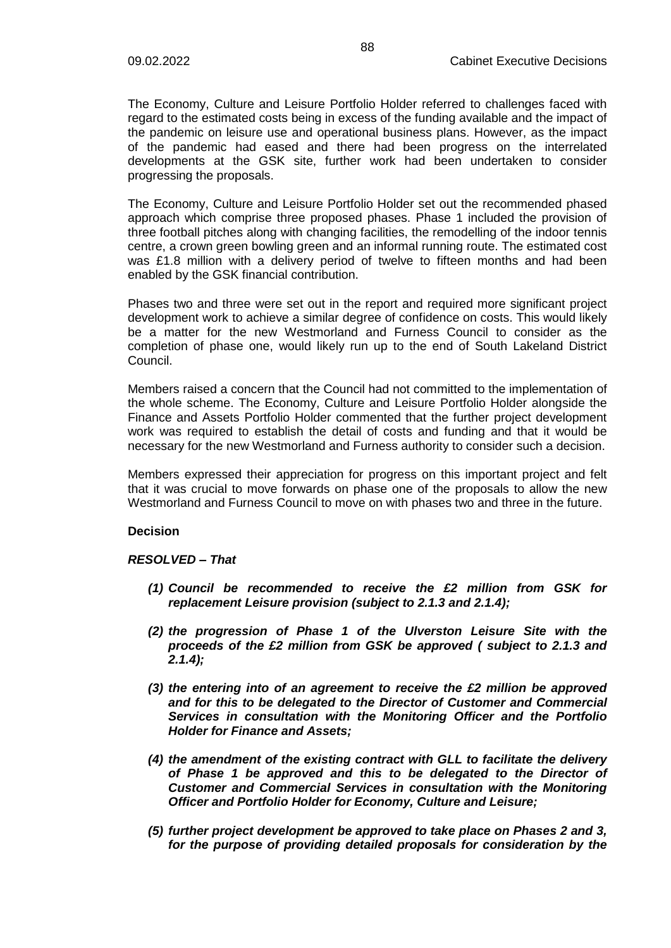The Economy, Culture and Leisure Portfolio Holder referred to challenges faced with regard to the estimated costs being in excess of the funding available and the impact of the pandemic on leisure use and operational business plans. However, as the impact of the pandemic had eased and there had been progress on the interrelated developments at the GSK site, further work had been undertaken to consider progressing the proposals.

The Economy, Culture and Leisure Portfolio Holder set out the recommended phased approach which comprise three proposed phases. Phase 1 included the provision of three football pitches along with changing facilities, the remodelling of the indoor tennis centre, a crown green bowling green and an informal running route. The estimated cost was £1.8 million with a delivery period of twelve to fifteen months and had been enabled by the GSK financial contribution.

Phases two and three were set out in the report and required more significant project development work to achieve a similar degree of confidence on costs. This would likely be a matter for the new Westmorland and Furness Council to consider as the completion of phase one, would likely run up to the end of South Lakeland District Council.

Members raised a concern that the Council had not committed to the implementation of the whole scheme. The Economy, Culture and Leisure Portfolio Holder alongside the Finance and Assets Portfolio Holder commented that the further project development work was required to establish the detail of costs and funding and that it would be necessary for the new Westmorland and Furness authority to consider such a decision.

Members expressed their appreciation for progress on this important project and felt that it was crucial to move forwards on phase one of the proposals to allow the new Westmorland and Furness Council to move on with phases two and three in the future.

### **Decision**

### *RESOLVED – That*

- *(1) Council be recommended to receive the £2 million from GSK for replacement Leisure provision (subject to 2.1.3 and 2.1.4);*
- *(2) the progression of Phase 1 of the Ulverston Leisure Site with the proceeds of the £2 million from GSK be approved ( subject to 2.1.3 and 2.1.4);*
- *(3) the entering into of an agreement to receive the £2 million be approved and for this to be delegated to the Director of Customer and Commercial Services in consultation with the Monitoring Officer and the Portfolio Holder for Finance and Assets;*
- *(4) the amendment of the existing contract with GLL to facilitate the delivery of Phase 1 be approved and this to be delegated to the Director of Customer and Commercial Services in consultation with the Monitoring Officer and Portfolio Holder for Economy, Culture and Leisure;*
- *(5) further project development be approved to take place on Phases 2 and 3, for the purpose of providing detailed proposals for consideration by the*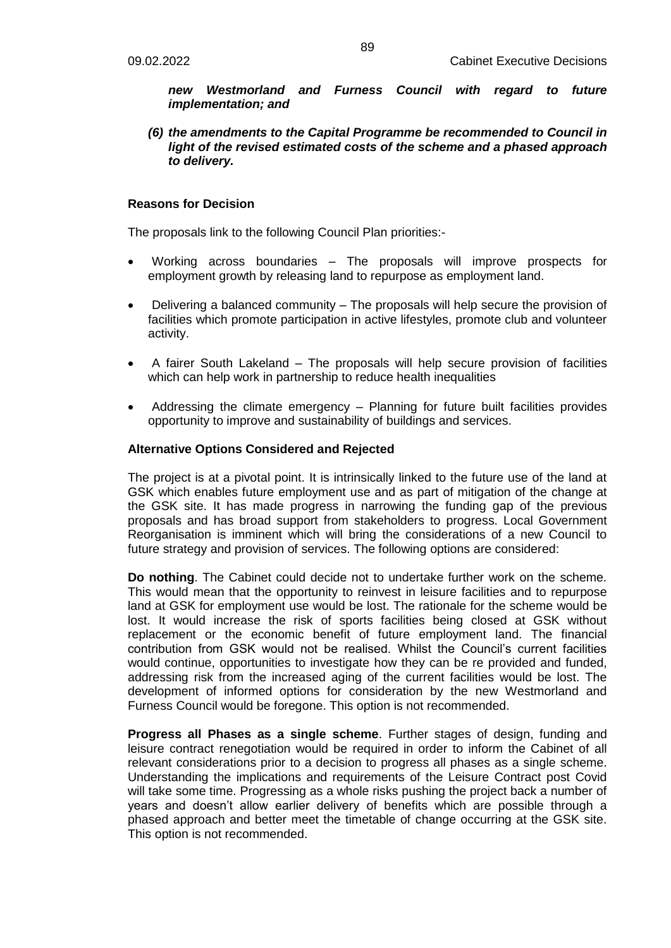*new Westmorland and Furness Council with regard to future implementation; and*

*(6) the amendments to the Capital Programme be recommended to Council in light of the revised estimated costs of the scheme and a phased approach to delivery.*

### **Reasons for Decision**

The proposals link to the following Council Plan priorities:-

- Working across boundaries The proposals will improve prospects for employment growth by releasing land to repurpose as employment land.
- Delivering a balanced community The proposals will help secure the provision of facilities which promote participation in active lifestyles, promote club and volunteer activity.
- A fairer South Lakeland The proposals will help secure provision of facilities which can help work in partnership to reduce health inequalities
- Addressing the climate emergency Planning for future built facilities provides opportunity to improve and sustainability of buildings and services.

### **Alternative Options Considered and Rejected**

The project is at a pivotal point. It is intrinsically linked to the future use of the land at GSK which enables future employment use and as part of mitigation of the change at the GSK site. It has made progress in narrowing the funding gap of the previous proposals and has broad support from stakeholders to progress. Local Government Reorganisation is imminent which will bring the considerations of a new Council to future strategy and provision of services. The following options are considered:

**Do nothing**. The Cabinet could decide not to undertake further work on the scheme. This would mean that the opportunity to reinvest in leisure facilities and to repurpose land at GSK for employment use would be lost. The rationale for the scheme would be lost. It would increase the risk of sports facilities being closed at GSK without replacement or the economic benefit of future employment land. The financial contribution from GSK would not be realised. Whilst the Council's current facilities would continue, opportunities to investigate how they can be re provided and funded, addressing risk from the increased aging of the current facilities would be lost. The development of informed options for consideration by the new Westmorland and Furness Council would be foregone. This option is not recommended.

**Progress all Phases as a single scheme**. Further stages of design, funding and leisure contract renegotiation would be required in order to inform the Cabinet of all relevant considerations prior to a decision to progress all phases as a single scheme. Understanding the implications and requirements of the Leisure Contract post Covid will take some time. Progressing as a whole risks pushing the project back a number of years and doesn't allow earlier delivery of benefits which are possible through a phased approach and better meet the timetable of change occurring at the GSK site. This option is not recommended.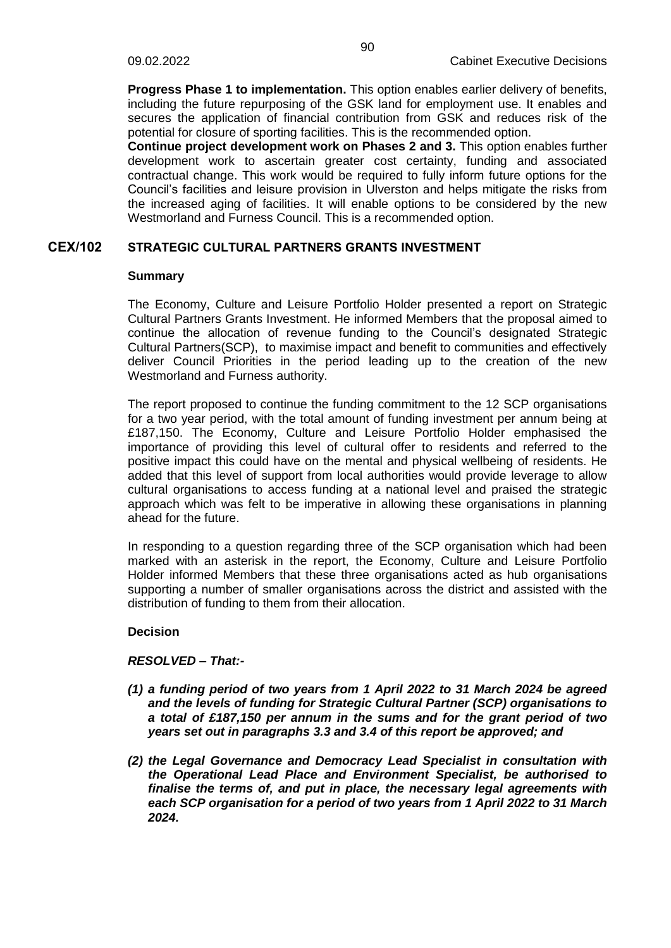**Progress Phase 1 to implementation.** This option enables earlier delivery of benefits, including the future repurposing of the GSK land for employment use. It enables and secures the application of financial contribution from GSK and reduces risk of the potential for closure of sporting facilities. This is the recommended option.

**Continue project development work on Phases 2 and 3.** This option enables further development work to ascertain greater cost certainty, funding and associated contractual change. This work would be required to fully inform future options for the Council's facilities and leisure provision in Ulverston and helps mitigate the risks from the increased aging of facilities. It will enable options to be considered by the new Westmorland and Furness Council. This is a recommended option.

### **CEX/102 STRATEGIC CULTURAL PARTNERS GRANTS INVESTMENT**

#### **Summary**

The Economy, Culture and Leisure Portfolio Holder presented a report on Strategic Cultural Partners Grants Investment. He informed Members that the proposal aimed to continue the allocation of revenue funding to the Council's designated Strategic Cultural Partners(SCP), to maximise impact and benefit to communities and effectively deliver Council Priorities in the period leading up to the creation of the new Westmorland and Furness authority.

The report proposed to continue the funding commitment to the 12 SCP organisations for a two year period, with the total amount of funding investment per annum being at £187,150. The Economy, Culture and Leisure Portfolio Holder emphasised the importance of providing this level of cultural offer to residents and referred to the positive impact this could have on the mental and physical wellbeing of residents. He added that this level of support from local authorities would provide leverage to allow cultural organisations to access funding at a national level and praised the strategic approach which was felt to be imperative in allowing these organisations in planning ahead for the future.

In responding to a question regarding three of the SCP organisation which had been marked with an asterisk in the report, the Economy, Culture and Leisure Portfolio Holder informed Members that these three organisations acted as hub organisations supporting a number of smaller organisations across the district and assisted with the distribution of funding to them from their allocation.

### **Decision**

### *RESOLVED – That:-*

- *(1) a funding period of two years from 1 April 2022 to 31 March 2024 be agreed and the levels of funding for Strategic Cultural Partner (SCP) organisations to a total of £187,150 per annum in the sums and for the grant period of two years set out in paragraphs 3.3 and 3.4 of this report be approved; and*
- *(2) the Legal Governance and Democracy Lead Specialist in consultation with the Operational Lead Place and Environment Specialist, be authorised to finalise the terms of, and put in place, the necessary legal agreements with each SCP organisation for a period of two years from 1 April 2022 to 31 March 2024.*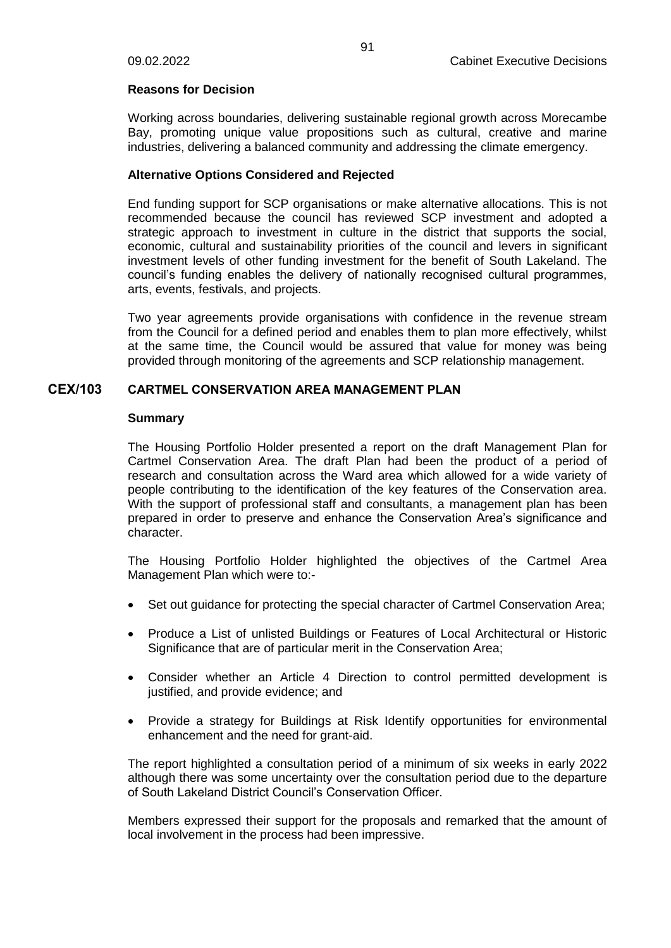### **Reasons for Decision**

Working across boundaries, delivering sustainable regional growth across Morecambe Bay, promoting unique value propositions such as cultural, creative and marine industries, delivering a balanced community and addressing the climate emergency.

# **Alternative Options Considered and Rejected**

End funding support for SCP organisations or make alternative allocations. This is not recommended because the council has reviewed SCP investment and adopted a strategic approach to investment in culture in the district that supports the social, economic, cultural and sustainability priorities of the council and levers in significant investment levels of other funding investment for the benefit of South Lakeland. The council's funding enables the delivery of nationally recognised cultural programmes, arts, events, festivals, and projects.

Two year agreements provide organisations with confidence in the revenue stream from the Council for a defined period and enables them to plan more effectively, whilst at the same time, the Council would be assured that value for money was being provided through monitoring of the agreements and SCP relationship management.

# **CEX/103 CARTMEL CONSERVATION AREA MANAGEMENT PLAN**

### **Summary**

The Housing Portfolio Holder presented a report on the draft Management Plan for Cartmel Conservation Area. The draft Plan had been the product of a period of research and consultation across the Ward area which allowed for a wide variety of people contributing to the identification of the key features of the Conservation area. With the support of professional staff and consultants, a management plan has been prepared in order to preserve and enhance the Conservation Area's significance and character.

The Housing Portfolio Holder highlighted the objectives of the Cartmel Area Management Plan which were to:-

- Set out guidance for protecting the special character of Cartmel Conservation Area;
- Produce a List of unlisted Buildings or Features of Local Architectural or Historic Significance that are of particular merit in the Conservation Area;
- Consider whether an Article 4 Direction to control permitted development is justified, and provide evidence; and
- Provide a strategy for Buildings at Risk Identify opportunities for environmental enhancement and the need for grant-aid.

The report highlighted a consultation period of a minimum of six weeks in early 2022 although there was some uncertainty over the consultation period due to the departure of South Lakeland District Council's Conservation Officer.

Members expressed their support for the proposals and remarked that the amount of local involvement in the process had been impressive.